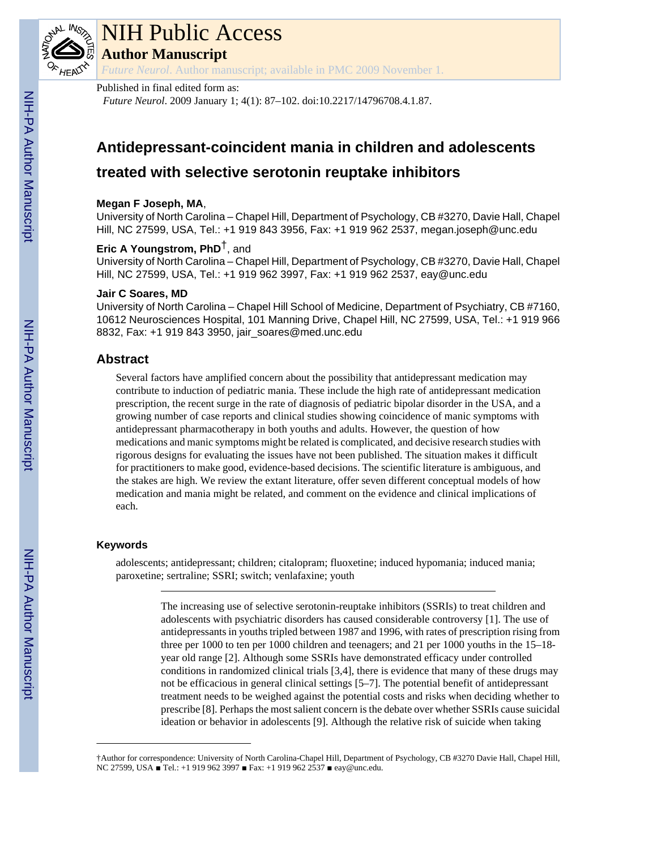

# NIH Public Access

**Author Manuscript**

*Future Neurol*. Author manuscript; available in PMC 2009 November 1.

## Published in final edited form as:

*Future Neurol*. 2009 January 1; 4(1): 87–102. doi:10.2217/14796708.4.1.87.

## **Antidepressant-coincident mania in children and adolescents treated with selective serotonin reuptake inhibitors**

## **Megan F Joseph, MA**,

University of North Carolina – Chapel Hill, Department of Psychology, CB #3270, Davie Hall, Chapel Hill, NC 27599, USA, Tel.: +1 919 843 3956, Fax: +1 919 962 2537, megan.joseph@unc.edu

## **Eric A Youngstrom, PhD**†, and

University of North Carolina – Chapel Hill, Department of Psychology, CB #3270, Davie Hall, Chapel Hill, NC 27599, USA, Tel.: +1 919 962 3997, Fax: +1 919 962 2537, eay@unc.edu

## **Jair C Soares, MD**

University of North Carolina – Chapel Hill School of Medicine, Department of Psychiatry, CB #7160, 10612 Neurosciences Hospital, 101 Manning Drive, Chapel Hill, NC 27599, USA, Tel.: +1 919 966 8832, Fax: +1 919 843 3950, jair\_soares@med.unc.edu

## **Abstract**

Several factors have amplified concern about the possibility that antidepressant medication may contribute to induction of pediatric mania. These include the high rate of antidepressant medication prescription, the recent surge in the rate of diagnosis of pediatric bipolar disorder in the USA, and a growing number of case reports and clinical studies showing coincidence of manic symptoms with antidepressant pharmacotherapy in both youths and adults. However, the question of how medications and manic symptoms might be related is complicated, and decisive research studies with rigorous designs for evaluating the issues have not been published. The situation makes it difficult for practitioners to make good, evidence-based decisions. The scientific literature is ambiguous, and the stakes are high. We review the extant literature, offer seven different conceptual models of how medication and mania might be related, and comment on the evidence and clinical implications of each.

## **Keywords**

adolescents; antidepressant; children; citalopram; fluoxetine; induced hypomania; induced mania; paroxetine; sertraline; SSRI; switch; venlafaxine; youth

> The increasing use of selective serotonin-reuptake inhibitors (SSRIs) to treat children and adolescents with psychiatric disorders has caused considerable controversy [1]. The use of antidepressants in youths tripled between 1987 and 1996, with rates of prescription rising from three per 1000 to ten per 1000 children and teenagers; and 21 per 1000 youths in the 15–18 year old range [2]. Although some SSRIs have demonstrated efficacy under controlled conditions in randomized clinical trials [3,4], there is evidence that many of these drugs may not be efficacious in general clinical settings [5–7]. The potential benefit of antidepressant treatment needs to be weighed against the potential costs and risks when deciding whether to prescribe [8]. Perhaps the most salient concern is the debate over whether SSRIs cause suicidal ideation or behavior in adolescents [9]. Although the relative risk of suicide when taking

<sup>†</sup>Author for correspondence: University of North Carolina-Chapel Hill, Department of Psychology, CB #3270 Davie Hall, Chapel Hill, NC 27599, USA ■ Tel.: +1 919 962 3997 ■ Fax: +1 919 962 2537 ■ eay@unc.edu.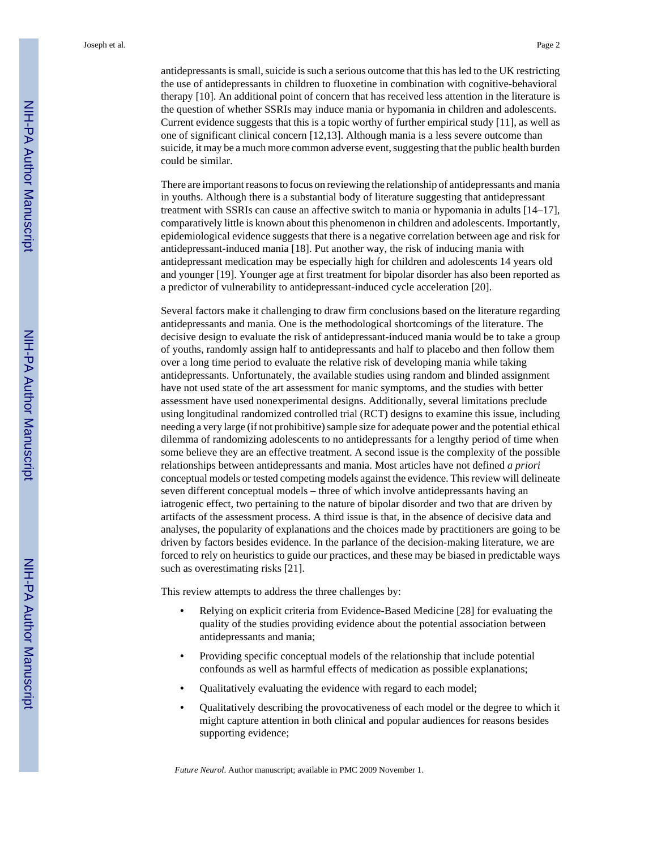antidepressants is small, suicide is such a serious outcome that this has led to the UK restricting the use of antidepressants in children to fluoxetine in combination with cognitive-behavioral therapy [10]. An additional point of concern that has received less attention in the literature is the question of whether SSRIs may induce mania or hypomania in children and adolescents. Current evidence suggests that this is a topic worthy of further empirical study [11], as well as one of significant clinical concern [12,13]. Although mania is a less severe outcome than suicide, it may be a much more common adverse event, suggesting that the public health burden could be similar.

There are important reasons to focus on reviewing the relationship of antidepressants and mania in youths. Although there is a substantial body of literature suggesting that antidepressant treatment with SSRIs can cause an affective switch to mania or hypomania in adults [14–17], comparatively little is known about this phenomenon in children and adolescents. Importantly, epidemiological evidence suggests that there is a negative correlation between age and risk for antidepressant-induced mania [18]. Put another way, the risk of inducing mania with antidepressant medication may be especially high for children and adolescents 14 years old and younger [19]. Younger age at first treatment for bipolar disorder has also been reported as a predictor of vulnerability to antidepressant-induced cycle acceleration [20].

Several factors make it challenging to draw firm conclusions based on the literature regarding antidepressants and mania. One is the methodological shortcomings of the literature. The decisive design to evaluate the risk of antidepressant-induced mania would be to take a group of youths, randomly assign half to antidepressants and half to placebo and then follow them over a long time period to evaluate the relative risk of developing mania while taking antidepressants. Unfortunately, the available studies using random and blinded assignment have not used state of the art assessment for manic symptoms, and the studies with better assessment have used nonexperimental designs. Additionally, several limitations preclude using longitudinal randomized controlled trial (RCT) designs to examine this issue, including needing a very large (if not prohibitive) sample size for adequate power and the potential ethical dilemma of randomizing adolescents to no antidepressants for a lengthy period of time when some believe they are an effective treatment. A second issue is the complexity of the possible relationships between antidepressants and mania. Most articles have not defined *a priori* conceptual models or tested competing models against the evidence. This review will delineate seven different conceptual models – three of which involve antidepressants having an iatrogenic effect, two pertaining to the nature of bipolar disorder and two that are driven by artifacts of the assessment process. A third issue is that, in the absence of decisive data and analyses, the popularity of explanations and the choices made by practitioners are going to be driven by factors besides evidence. In the parlance of the decision-making literature, we are forced to rely on heuristics to guide our practices, and these may be biased in predictable ways such as overestimating risks [21].

This review attempts to address the three challenges by:

- **•** Relying on explicit criteria from Evidence-Based Medicine [28] for evaluating the quality of the studies providing evidence about the potential association between antidepressants and mania;
- **•** Providing specific conceptual models of the relationship that include potential confounds as well as harmful effects of medication as possible explanations;
- **•** Qualitatively evaluating the evidence with regard to each model;
- **•** Qualitatively describing the provocativeness of each model or the degree to which it might capture attention in both clinical and popular audiences for reasons besides supporting evidence;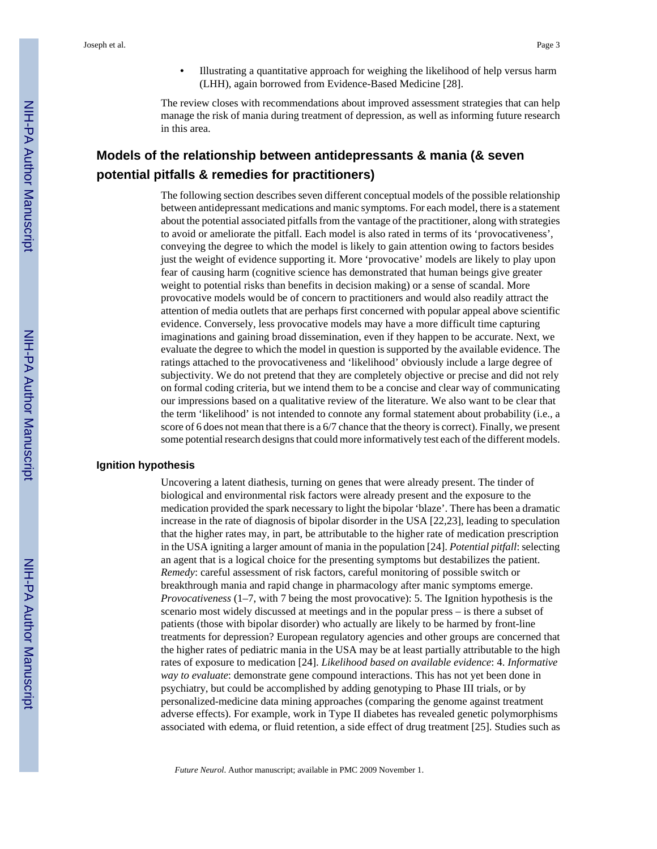**•** Illustrating a quantitative approach for weighing the likelihood of help versus harm (LHH), again borrowed from Evidence-Based Medicine [28].

The review closes with recommendations about improved assessment strategies that can help manage the risk of mania during treatment of depression, as well as informing future research in this area.

## **Models of the relationship between antidepressants & mania (& seven potential pitfalls & remedies for practitioners)**

The following section describes seven different conceptual models of the possible relationship between antidepressant medications and manic symptoms. For each model, there is a statement about the potential associated pitfalls from the vantage of the practitioner, along with strategies to avoid or ameliorate the pitfall. Each model is also rated in terms of its 'provocativeness', conveying the degree to which the model is likely to gain attention owing to factors besides just the weight of evidence supporting it. More 'provocative' models are likely to play upon fear of causing harm (cognitive science has demonstrated that human beings give greater weight to potential risks than benefits in decision making) or a sense of scandal. More provocative models would be of concern to practitioners and would also readily attract the attention of media outlets that are perhaps first concerned with popular appeal above scientific evidence. Conversely, less provocative models may have a more difficult time capturing imaginations and gaining broad dissemination, even if they happen to be accurate. Next, we evaluate the degree to which the model in question is supported by the available evidence. The ratings attached to the provocativeness and 'likelihood' obviously include a large degree of subjectivity. We do not pretend that they are completely objective or precise and did not rely on formal coding criteria, but we intend them to be a concise and clear way of communicating our impressions based on a qualitative review of the literature. We also want to be clear that the term 'likelihood' is not intended to connote any formal statement about probability (i.e., a score of 6 does not mean that there is a 6/7 chance that the theory is correct). Finally, we present some potential research designs that could more informatively test each of the different models.

#### **Ignition hypothesis**

Uncovering a latent diathesis, turning on genes that were already present. The tinder of biological and environmental risk factors were already present and the exposure to the medication provided the spark necessary to light the bipolar 'blaze'. There has been a dramatic increase in the rate of diagnosis of bipolar disorder in the USA [22,23], leading to speculation that the higher rates may, in part, be attributable to the higher rate of medication prescription in the USA igniting a larger amount of mania in the population [24]. *Potential pitfall*: selecting an agent that is a logical choice for the presenting symptoms but destabilizes the patient. *Remedy*: careful assessment of risk factors, careful monitoring of possible switch or breakthrough mania and rapid change in pharmacology after manic symptoms emerge. *Provocativeness* (1–7, with 7 being the most provocative): 5. The Ignition hypothesis is the scenario most widely discussed at meetings and in the popular press – is there a subset of patients (those with bipolar disorder) who actually are likely to be harmed by front-line treatments for depression? European regulatory agencies and other groups are concerned that the higher rates of pediatric mania in the USA may be at least partially attributable to the high rates of exposure to medication [24]. *Likelihood based on available evidence*: 4. *Informative way to evaluate*: demonstrate gene compound interactions. This has not yet been done in psychiatry, but could be accomplished by adding genotyping to Phase III trials, or by personalized-medicine data mining approaches (comparing the genome against treatment adverse effects). For example, work in Type II diabetes has revealed genetic polymorphisms associated with edema, or fluid retention, a side effect of drug treatment [25]. Studies such as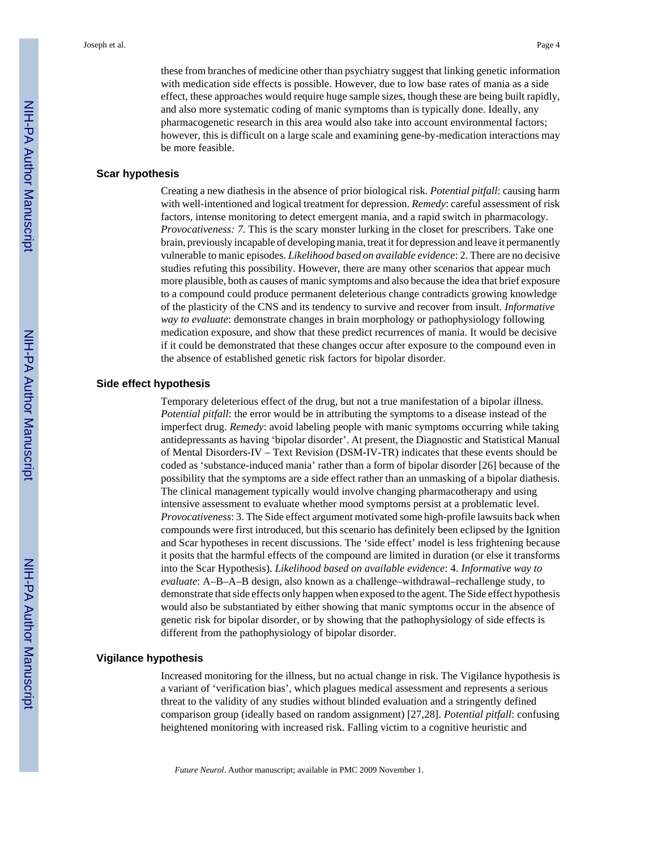these from branches of medicine other than psychiatry suggest that linking genetic information with medication side effects is possible. However, due to low base rates of mania as a side effect, these approaches would require huge sample sizes, though these are being built rapidly, and also more systematic coding of manic symptoms than is typically done. Ideally, any pharmacogenetic research in this area would also take into account environmental factors; however, this is difficult on a large scale and examining gene-by-medication interactions may be more feasible.

#### **Scar hypothesis**

Creating a new diathesis in the absence of prior biological risk. *Potential pitfall*: causing harm with well-intentioned and logical treatment for depression. *Remedy*: careful assessment of risk factors, intense monitoring to detect emergent mania, and a rapid switch in pharmacology. *Provocativeness: 7*. This is the scary monster lurking in the closet for prescribers. Take one brain, previously incapable of developing mania, treat it for depression and leave it permanently vulnerable to manic episodes. *Likelihood based on available evidence*: 2. There are no decisive studies refuting this possibility. However, there are many other scenarios that appear much more plausible, both as causes of manic symptoms and also because the idea that brief exposure to a compound could produce permanent deleterious change contradicts growing knowledge of the plasticity of the CNS and its tendency to survive and recover from insult. *Informative way to evaluate*: demonstrate changes in brain morphology or pathophysiology following medication exposure, and show that these predict recurrences of mania. It would be decisive if it could be demonstrated that these changes occur after exposure to the compound even in the absence of established genetic risk factors for bipolar disorder.

#### **Side effect hypothesis**

Temporary deleterious effect of the drug, but not a true manifestation of a bipolar illness. *Potential pitfall*: the error would be in attributing the symptoms to a disease instead of the imperfect drug. *Remedy*: avoid labeling people with manic symptoms occurring while taking antidepressants as having 'bipolar disorder'. At present, the Diagnostic and Statistical Manual of Mental Disorders-IV – Text Revision (DSM-IV-TR) indicates that these events should be coded as 'substance-induced mania' rather than a form of bipolar disorder [26] because of the possibility that the symptoms are a side effect rather than an unmasking of a bipolar diathesis. The clinical management typically would involve changing pharmacotherapy and using intensive assessment to evaluate whether mood symptoms persist at a problematic level. *Provocativeness*: 3. The Side effect argument motivated some high-profile lawsuits back when compounds were first introduced, but this scenario has definitely been eclipsed by the Ignition and Scar hypotheses in recent discussions. The 'side effect' model is less frightening because it posits that the harmful effects of the compound are limited in duration (or else it transforms into the Scar Hypothesis). *Likelihood based on available evidence*: 4. *Informative way to evaluate*: A–B–A–B design, also known as a challenge–withdrawal–rechallenge study, to demonstrate that side effects only happen when exposed to the agent. The Side effect hypothesis would also be substantiated by either showing that manic symptoms occur in the absence of genetic risk for bipolar disorder, or by showing that the pathophysiology of side effects is different from the pathophysiology of bipolar disorder.

#### **Vigilance hypothesis**

Increased monitoring for the illness, but no actual change in risk. The Vigilance hypothesis is a variant of 'verification bias', which plagues medical assessment and represents a serious threat to the validity of any studies without blinded evaluation and a stringently defined comparison group (ideally based on random assignment) [27,28]. *Potential pitfall*: confusing heightened monitoring with increased risk. Falling victim to a cognitive heuristic and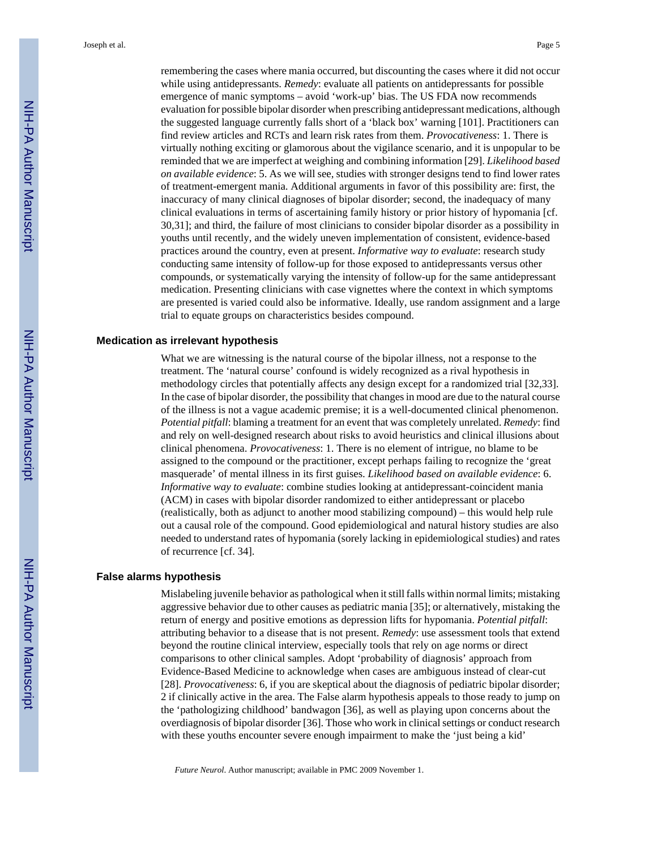remembering the cases where mania occurred, but discounting the cases where it did not occur while using antidepressants. *Remedy*: evaluate all patients on antidepressants for possible emergence of manic symptoms – avoid 'work-up' bias. The US FDA now recommends evaluation for possible bipolar disorder when prescribing antidepressant medications, although the suggested language currently falls short of a 'black box' warning [101]. Practitioners can find review articles and RCTs and learn risk rates from them. *Provocativeness*: 1. There is virtually nothing exciting or glamorous about the vigilance scenario, and it is unpopular to be reminded that we are imperfect at weighing and combining information [29]. *Likelihood based on available evidence*: 5. As we will see, studies with stronger designs tend to find lower rates of treatment-emergent mania. Additional arguments in favor of this possibility are: first, the inaccuracy of many clinical diagnoses of bipolar disorder; second, the inadequacy of many clinical evaluations in terms of ascertaining family history or prior history of hypomania [cf. 30,31]; and third, the failure of most clinicians to consider bipolar disorder as a possibility in youths until recently, and the widely uneven implementation of consistent, evidence-based practices around the country, even at present. *Informative way to evaluate*: research study conducting same intensity of follow-up for those exposed to antidepressants versus other compounds, or systematically varying the intensity of follow-up for the same antidepressant medication. Presenting clinicians with case vignettes where the context in which symptoms are presented is varied could also be informative. Ideally, use random assignment and a large trial to equate groups on characteristics besides compound.

#### **Medication as irrelevant hypothesis**

What we are witnessing is the natural course of the bipolar illness, not a response to the treatment. The 'natural course' confound is widely recognized as a rival hypothesis in methodology circles that potentially affects any design except for a randomized trial [32,33]. In the case of bipolar disorder, the possibility that changes in mood are due to the natural course of the illness is not a vague academic premise; it is a well-documented clinical phenomenon. *Potential pitfall*: blaming a treatment for an event that was completely unrelated. *Remedy*: find and rely on well-designed research about risks to avoid heuristics and clinical illusions about clinical phenomena. *Provocativeness*: 1. There is no element of intrigue, no blame to be assigned to the compound or the practitioner, except perhaps failing to recognize the 'great masquerade' of mental illness in its first guises. *Likelihood based on available evidence*: 6. *Informative way to evaluate*: combine studies looking at antidepressant-coincident mania (ACM) in cases with bipolar disorder randomized to either antidepressant or placebo (realistically, both as adjunct to another mood stabilizing compound) – this would help rule out a causal role of the compound. Good epidemiological and natural history studies are also needed to understand rates of hypomania (sorely lacking in epidemiological studies) and rates of recurrence [cf. 34].

#### **False alarms hypothesis**

Mislabeling juvenile behavior as pathological when it still falls within normal limits; mistaking aggressive behavior due to other causes as pediatric mania [35]; or alternatively, mistaking the return of energy and positive emotions as depression lifts for hypomania. *Potential pitfall*: attributing behavior to a disease that is not present. *Remedy*: use assessment tools that extend beyond the routine clinical interview, especially tools that rely on age norms or direct comparisons to other clinical samples. Adopt 'probability of diagnosis' approach from Evidence-Based Medicine to acknowledge when cases are ambiguous instead of clear-cut [28]. *Provocativeness*: 6, if you are skeptical about the diagnosis of pediatric bipolar disorder; 2 if clinically active in the area. The False alarm hypothesis appeals to those ready to jump on the 'pathologizing childhood' bandwagon [36], as well as playing upon concerns about the overdiagnosis of bipolar disorder [36]. Those who work in clinical settings or conduct research with these youths encounter severe enough impairment to make the 'just being a kid'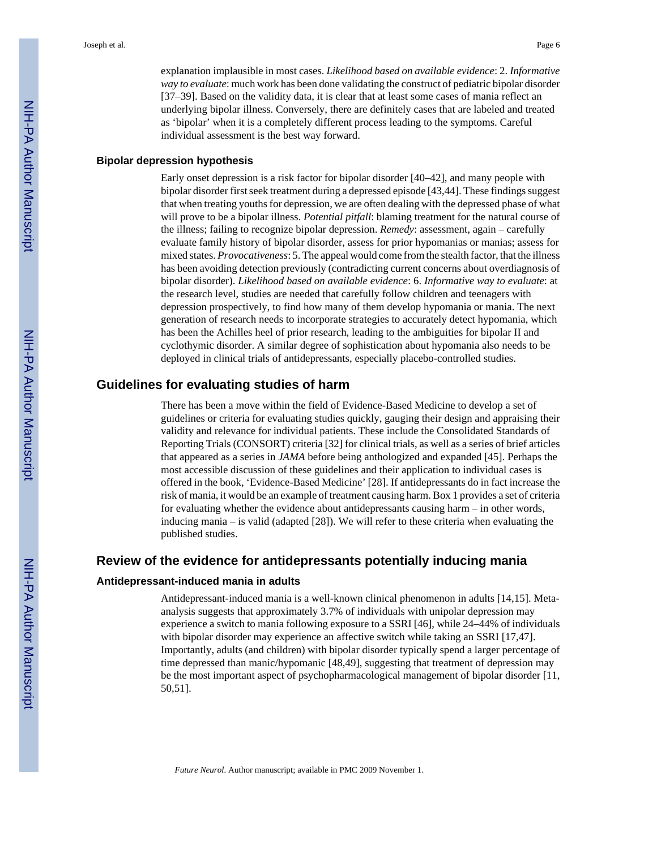explanation implausible in most cases. *Likelihood based on available evidence*: 2. *Informative way to evaluate*: much work has been done validating the construct of pediatric bipolar disorder [37–39]. Based on the validity data, it is clear that at least some cases of mania reflect an underlying bipolar illness. Conversely, there are definitely cases that are labeled and treated as 'bipolar' when it is a completely different process leading to the symptoms. Careful individual assessment is the best way forward.

#### **Bipolar depression hypothesis**

Early onset depression is a risk factor for bipolar disorder [40–42], and many people with bipolar disorder first seek treatment during a depressed episode [43,44]. These findings suggest that when treating youths for depression, we are often dealing with the depressed phase of what will prove to be a bipolar illness. *Potential pitfall*: blaming treatment for the natural course of the illness; failing to recognize bipolar depression. *Remedy*: assessment, again – carefully evaluate family history of bipolar disorder, assess for prior hypomanias or manias; assess for mixed states. *Provocativeness*: 5. The appeal would come from the stealth factor, that the illness has been avoiding detection previously (contradicting current concerns about overdiagnosis of bipolar disorder). *Likelihood based on available evidence*: 6. *Informative way to evaluate*: at the research level, studies are needed that carefully follow children and teenagers with depression prospectively, to find how many of them develop hypomania or mania. The next generation of research needs to incorporate strategies to accurately detect hypomania, which has been the Achilles heel of prior research, leading to the ambiguities for bipolar II and cyclothymic disorder. A similar degree of sophistication about hypomania also needs to be deployed in clinical trials of antidepressants, especially placebo-controlled studies.

## **Guidelines for evaluating studies of harm**

There has been a move within the field of Evidence-Based Medicine to develop a set of guidelines or criteria for evaluating studies quickly, gauging their design and appraising their validity and relevance for individual patients. These include the Consolidated Standards of Reporting Trials (CONSORT) criteria [32] for clinical trials, as well as a series of brief articles that appeared as a series in *JAMA* before being anthologized and expanded [45]. Perhaps the most accessible discussion of these guidelines and their application to individual cases is offered in the book, 'Evidence-Based Medicine' [28]. If antidepressants do in fact increase the risk of mania, it would be an example of treatment causing harm. Box 1 provides a set of criteria for evaluating whether the evidence about antidepressants causing harm – in other words, inducing mania – is valid (adapted [28]). We will refer to these criteria when evaluating the published studies.

## **Review of the evidence for antidepressants potentially inducing mania**

#### **Antidepressant-induced mania in adults**

Antidepressant-induced mania is a well-known clinical phenomenon in adults [14,15]. Metaanalysis suggests that approximately 3.7% of individuals with unipolar depression may experience a switch to mania following exposure to a SSRI [46], while 24–44% of individuals with bipolar disorder may experience an affective switch while taking an SSRI [17,47]. Importantly, adults (and children) with bipolar disorder typically spend a larger percentage of time depressed than manic/hypomanic [48,49], suggesting that treatment of depression may be the most important aspect of psychopharmacological management of bipolar disorder [11, 50,51].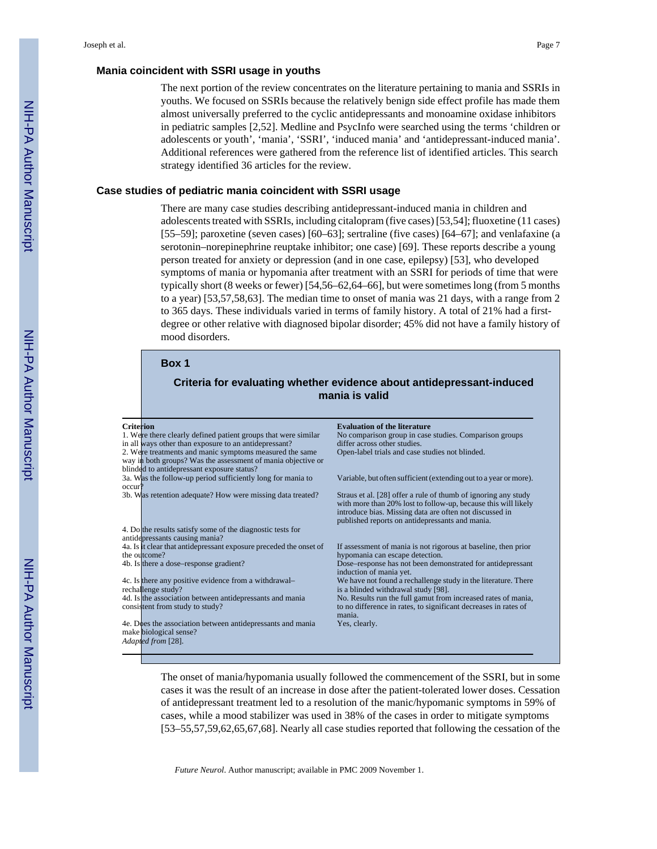#### **Mania coincident with SSRI usage in youths**

The next portion of the review concentrates on the literature pertaining to mania and SSRIs in youths. We focused on SSRIs because the relatively benign side effect profile has made them almost universally preferred to the cyclic antidepressants and monoamine oxidase inhibitors in pediatric samples [2,52]. Medline and PsycInfo were searched using the terms 'children or adolescents or youth', 'mania', 'SSRI', 'induced mania' and 'antidepressant-induced mania'. Additional references were gathered from the reference list of identified articles. This search strategy identified 36 articles for the review.

#### **Case studies of pediatric mania coincident with SSRI usage**

There are many case studies describing antidepressant-induced mania in children and adolescents treated with SSRIs, including citalopram (five cases) [53,54]; fluoxetine (11 cases) [55–59]; paroxetine (seven cases) [60–63]; sertraline (five cases) [64–67]; and venlafaxine (a serotonin–norepinephrine reuptake inhibitor; one case) [69]. These reports describe a young person treated for anxiety or depression (and in one case, epilepsy) [53], who developed symptoms of mania or hypomania after treatment with an SSRI for periods of time that were typically short (8 weeks or fewer) [54,56–62,64–66], but were sometimes long (from 5 months to a year) [53,57,58,63]. The median time to onset of mania was 21 days, with a range from 2 to 365 days. These individuals varied in terms of family history. A total of 21% had a firstdegree or other relative with diagnosed bipolar disorder; 45% did not have a family history of mood disorders.

#### **Box 1**

## **Criteria for evaluating whether evidence about antidepressant-induced mania is valid**

| <b>Criterion</b><br><b>Evaluation of the literature</b><br>1. Were there clearly defined patient groups that were similar<br>No comparison group in case studies. Comparison groups                                                                                                                          |
|--------------------------------------------------------------------------------------------------------------------------------------------------------------------------------------------------------------------------------------------------------------------------------------------------------------|
|                                                                                                                                                                                                                                                                                                              |
|                                                                                                                                                                                                                                                                                                              |
| in all ways other than exposure to an antidepressant?<br>differ across other studies.                                                                                                                                                                                                                        |
| 2. Were treatments and manic symptoms measured the same<br>Open-label trials and case studies not blinded.                                                                                                                                                                                                   |
| way in both groups? Was the assessment of mania objective or                                                                                                                                                                                                                                                 |
| blinded to antidepressant exposure status?                                                                                                                                                                                                                                                                   |
| 3a. Was the follow-up period sufficiently long for mania to<br>Variable, but often sufficient (extending out to a year or more).                                                                                                                                                                             |
| occur?                                                                                                                                                                                                                                                                                                       |
| 3b. Was retention adequate? How were missing data treated?<br>Straus et al. [28] offer a rule of thumb of ignoring any study<br>with more than 20% lost to follow-up, because this will likely<br>introduce bias. Missing data are often not discussed in<br>published reports on antidepressants and mania. |
| 4. Do the results satisfy some of the diagnostic tests for                                                                                                                                                                                                                                                   |
| antidepressants causing mania?                                                                                                                                                                                                                                                                               |
| 4a. Is it clear that antidepressant exposure preceded the onset of<br>If assessment of mania is not rigorous at baseline, then prior                                                                                                                                                                         |
| the outcome?<br>hypomania can escape detection.                                                                                                                                                                                                                                                              |
| 4b. Is there a dose-response gradient?<br>Dose–response has not been demonstrated for antidepressant<br>induction of mania yet.                                                                                                                                                                              |
| We have not found a rechallenge study in the literature. There<br>4c. Is there any positive evidence from a withdrawal-                                                                                                                                                                                      |
| is a blinded withdrawal study [98].<br>rechallenge study?                                                                                                                                                                                                                                                    |
| 4d. Is the association between antidepressants and mania<br>No. Results run the full gamut from increased rates of mania,                                                                                                                                                                                    |
| to no difference in rates, to significant decreases in rates of<br>consistent from study to study?<br>mania.                                                                                                                                                                                                 |
| 4e. Does the association between antidepressants and mania<br>Yes, clearly.                                                                                                                                                                                                                                  |
| make biological sense?                                                                                                                                                                                                                                                                                       |
| Adapted from [28].                                                                                                                                                                                                                                                                                           |
|                                                                                                                                                                                                                                                                                                              |

The onset of mania/hypomania usually followed the commencement of the SSRI, but in some cases it was the result of an increase in dose after the patient-tolerated lower doses. Cessation of antidepressant treatment led to a resolution of the manic/hypomanic symptoms in 59% of cases, while a mood stabilizer was used in 38% of the cases in order to mitigate symptoms [53–55,57,59,62,65,67,68]. Nearly all case studies reported that following the cessation of the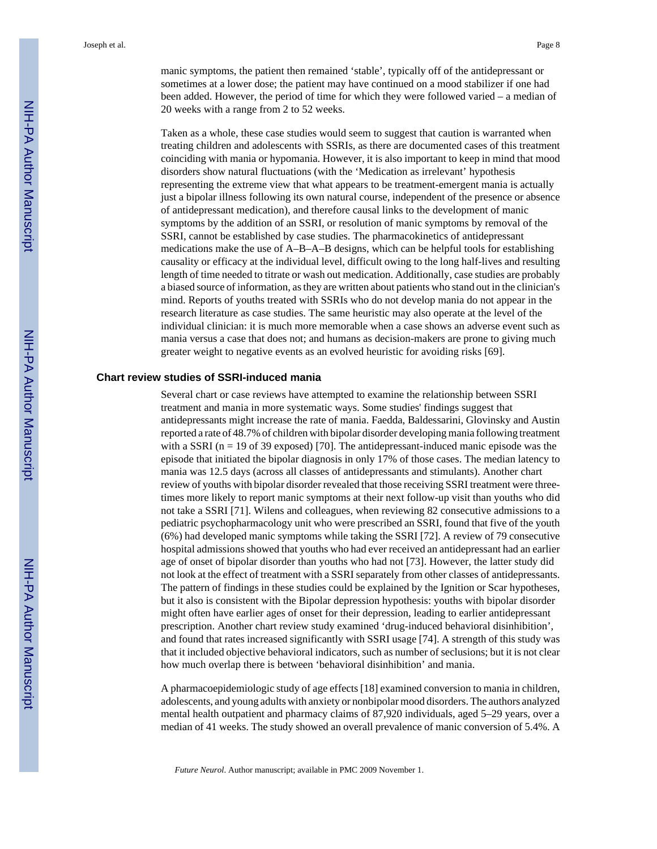manic symptoms, the patient then remained 'stable', typically off of the antidepressant or sometimes at a lower dose; the patient may have continued on a mood stabilizer if one had been added. However, the period of time for which they were followed varied – a median of 20 weeks with a range from 2 to 52 weeks.

Taken as a whole, these case studies would seem to suggest that caution is warranted when treating children and adolescents with SSRIs, as there are documented cases of this treatment coinciding with mania or hypomania. However, it is also important to keep in mind that mood disorders show natural fluctuations (with the 'Medication as irrelevant' hypothesis representing the extreme view that what appears to be treatment-emergent mania is actually just a bipolar illness following its own natural course, independent of the presence or absence of antidepressant medication), and therefore causal links to the development of manic symptoms by the addition of an SSRI, or resolution of manic symptoms by removal of the SSRI, cannot be established by case studies. The pharmacokinetics of antidepressant medications make the use of A–B–A–B designs, which can be helpful tools for establishing causality or efficacy at the individual level, difficult owing to the long half-lives and resulting length of time needed to titrate or wash out medication. Additionally, case studies are probably a biased source of information, as they are written about patients who stand out in the clinician's mind. Reports of youths treated with SSRIs who do not develop mania do not appear in the research literature as case studies. The same heuristic may also operate at the level of the individual clinician: it is much more memorable when a case shows an adverse event such as mania versus a case that does not; and humans as decision-makers are prone to giving much greater weight to negative events as an evolved heuristic for avoiding risks [69].

#### **Chart review studies of SSRI-induced mania**

Several chart or case reviews have attempted to examine the relationship between SSRI treatment and mania in more systematic ways. Some studies' findings suggest that antidepressants might increase the rate of mania. Faedda, Baldessarini, Glovinsky and Austin reported a rate of 48.7% of children with bipolar disorder developing mania following treatment with a SSRI ( $n = 19$  of 39 exposed) [70]. The antidepressant-induced manic episode was the episode that initiated the bipolar diagnosis in only 17% of those cases. The median latency to mania was 12.5 days (across all classes of antidepressants and stimulants). Another chart review of youths with bipolar disorder revealed that those receiving SSRI treatment were threetimes more likely to report manic symptoms at their next follow-up visit than youths who did not take a SSRI [71]. Wilens and colleagues, when reviewing 82 consecutive admissions to a pediatric psychopharmacology unit who were prescribed an SSRI, found that five of the youth (6%) had developed manic symptoms while taking the SSRI [72]. A review of 79 consecutive hospital admissions showed that youths who had ever received an antidepressant had an earlier age of onset of bipolar disorder than youths who had not [73]. However, the latter study did not look at the effect of treatment with a SSRI separately from other classes of antidepressants. The pattern of findings in these studies could be explained by the Ignition or Scar hypotheses, but it also is consistent with the Bipolar depression hypothesis: youths with bipolar disorder might often have earlier ages of onset for their depression, leading to earlier antidepressant prescription. Another chart review study examined 'drug-induced behavioral disinhibition', and found that rates increased significantly with SSRI usage [74]. A strength of this study was that it included objective behavioral indicators, such as number of seclusions; but it is not clear how much overlap there is between 'behavioral disinhibition' and mania.

A pharmacoepidemiologic study of age effects [18] examined conversion to mania in children, adolescents, and young adults with anxiety or nonbipolar mood disorders. The authors analyzed mental health outpatient and pharmacy claims of 87,920 individuals, aged 5–29 years, over a median of 41 weeks. The study showed an overall prevalence of manic conversion of 5.4%. A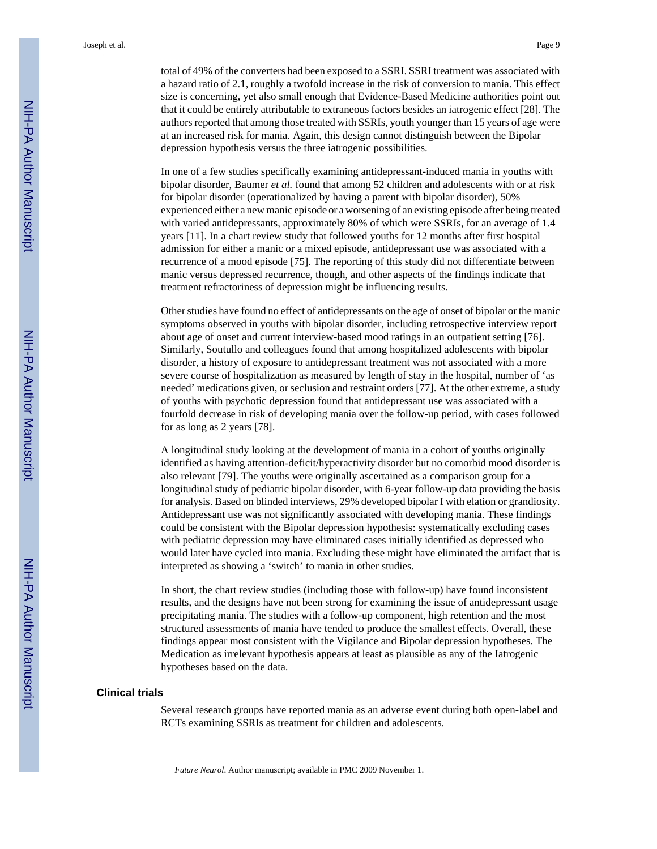total of 49% of the converters had been exposed to a SSRI. SSRI treatment was associated with a hazard ratio of 2.1, roughly a twofold increase in the risk of conversion to mania. This effect size is concerning, yet also small enough that Evidence-Based Medicine authorities point out that it could be entirely attributable to extraneous factors besides an iatrogenic effect [28]. The authors reported that among those treated with SSRIs, youth younger than 15 years of age were at an increased risk for mania. Again, this design cannot distinguish between the Bipolar depression hypothesis versus the three iatrogenic possibilities.

In one of a few studies specifically examining antidepressant-induced mania in youths with bipolar disorder, Baumer *et al.* found that among 52 children and adolescents with or at risk for bipolar disorder (operationalized by having a parent with bipolar disorder), 50% experienced either a new manic episode or a worsening of an existing episode after being treated with varied antidepressants, approximately 80% of which were SSRIs, for an average of 1.4 years [11]. In a chart review study that followed youths for 12 months after first hospital admission for either a manic or a mixed episode, antidepressant use was associated with a recurrence of a mood episode [75]. The reporting of this study did not differentiate between manic versus depressed recurrence, though, and other aspects of the findings indicate that treatment refractoriness of depression might be influencing results.

Other studies have found no effect of antidepressants on the age of onset of bipolar or the manic symptoms observed in youths with bipolar disorder, including retrospective interview report about age of onset and current interview-based mood ratings in an outpatient setting [76]. Similarly, Soutullo and colleagues found that among hospitalized adolescents with bipolar disorder, a history of exposure to antidepressant treatment was not associated with a more severe course of hospitalization as measured by length of stay in the hospital, number of 'as needed' medications given, or seclusion and restraint orders [77]. At the other extreme, a study of youths with psychotic depression found that antidepressant use was associated with a fourfold decrease in risk of developing mania over the follow-up period, with cases followed for as long as 2 years [78].

A longitudinal study looking at the development of mania in a cohort of youths originally identified as having attention-deficit/hyperactivity disorder but no comorbid mood disorder is also relevant [79]. The youths were originally ascertained as a comparison group for a longitudinal study of pediatric bipolar disorder, with 6-year follow-up data providing the basis for analysis. Based on blinded interviews, 29% developed bipolar I with elation or grandiosity. Antidepressant use was not significantly associated with developing mania. These findings could be consistent with the Bipolar depression hypothesis: systematically excluding cases with pediatric depression may have eliminated cases initially identified as depressed who would later have cycled into mania. Excluding these might have eliminated the artifact that is interpreted as showing a 'switch' to mania in other studies.

In short, the chart review studies (including those with follow-up) have found inconsistent results, and the designs have not been strong for examining the issue of antidepressant usage precipitating mania. The studies with a follow-up component, high retention and the most structured assessments of mania have tended to produce the smallest effects. Overall, these findings appear most consistent with the Vigilance and Bipolar depression hypotheses. The Medication as irrelevant hypothesis appears at least as plausible as any of the Iatrogenic hypotheses based on the data.

#### **Clinical trials**

Several research groups have reported mania as an adverse event during both open-label and RCTs examining SSRIs as treatment for children and adolescents.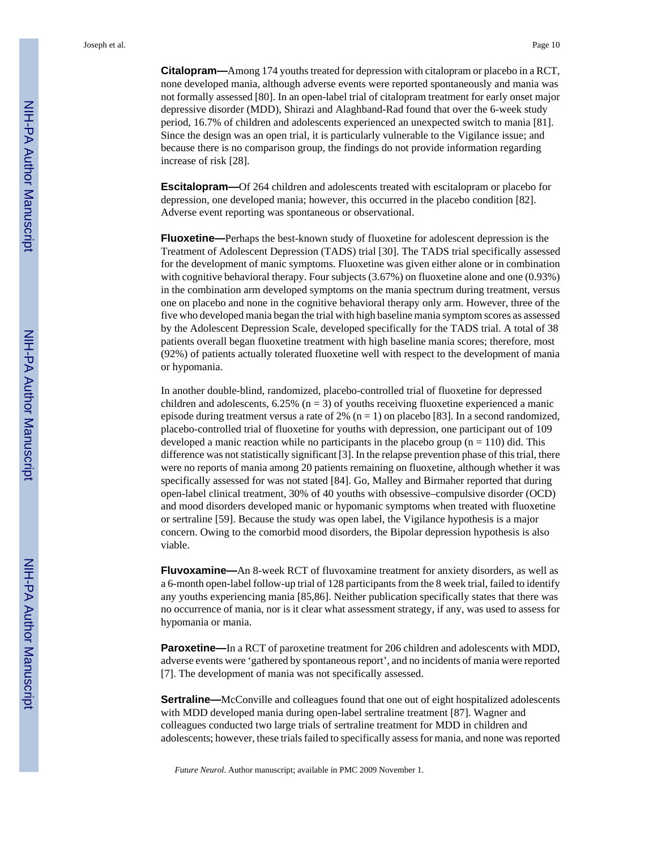Joseph et al. Page 10

**Citalopram—**Among 174 youths treated for depression with citalopram or placebo in a RCT, none developed mania, although adverse events were reported spontaneously and mania was not formally assessed [80]. In an open-label trial of citalopram treatment for early onset major depressive disorder (MDD), Shirazi and Alaghband-Rad found that over the 6-week study period, 16.7% of children and adolescents experienced an unexpected switch to mania [81]. Since the design was an open trial, it is particularly vulnerable to the Vigilance issue; and because there is no comparison group, the findings do not provide information regarding increase of risk [28].

**Escitalopram—**Of 264 children and adolescents treated with escitalopram or placebo for depression, one developed mania; however, this occurred in the placebo condition [82]. Adverse event reporting was spontaneous or observational.

**Fluoxetine—**Perhaps the best-known study of fluoxetine for adolescent depression is the Treatment of Adolescent Depression (TADS) trial [30]. The TADS trial specifically assessed for the development of manic symptoms. Fluoxetine was given either alone or in combination with cognitive behavioral therapy. Four subjects (3.67%) on fluoxetine alone and one (0.93%) in the combination arm developed symptoms on the mania spectrum during treatment, versus one on placebo and none in the cognitive behavioral therapy only arm. However, three of the five who developed mania began the trial with high baseline mania symptom scores as assessed by the Adolescent Depression Scale, developed specifically for the TADS trial. A total of 38 patients overall began fluoxetine treatment with high baseline mania scores; therefore, most (92%) of patients actually tolerated fluoxetine well with respect to the development of mania or hypomania.

In another double-blind, randomized, placebo-controlled trial of fluoxetine for depressed children and adolescents,  $6.25\%$  ( $n = 3$ ) of youths receiving fluoxetine experienced a manic episode during treatment versus a rate of 2%  $(n = 1)$  on placebo [83]. In a second randomized, placebo-controlled trial of fluoxetine for youths with depression, one participant out of 109 developed a manic reaction while no participants in the placebo group ( $n = 110$ ) did. This difference was not statistically significant [3]. In the relapse prevention phase of this trial, there were no reports of mania among 20 patients remaining on fluoxetine, although whether it was specifically assessed for was not stated [84]. Go, Malley and Birmaher reported that during open-label clinical treatment, 30% of 40 youths with obsessive–compulsive disorder (OCD) and mood disorders developed manic or hypomanic symptoms when treated with fluoxetine or sertraline [59]. Because the study was open label, the Vigilance hypothesis is a major concern. Owing to the comorbid mood disorders, the Bipolar depression hypothesis is also viable.

**Fluvoxamine—**An 8-week RCT of fluvoxamine treatment for anxiety disorders, as well as a 6-month open-label follow-up trial of 128 participants from the 8 week trial, failed to identify any youths experiencing mania [85,86]. Neither publication specifically states that there was no occurrence of mania, nor is it clear what assessment strategy, if any, was used to assess for hypomania or mania.

**Paroxetine—**In a RCT of paroxetine treatment for 206 children and adolescents with MDD, adverse events were 'gathered by spontaneous report', and no incidents of mania were reported [7]. The development of mania was not specifically assessed.

**Sertraline—**McConville and colleagues found that one out of eight hospitalized adolescents with MDD developed mania during open-label sertraline treatment [87]. Wagner and colleagues conducted two large trials of sertraline treatment for MDD in children and adolescents; however, these trials failed to specifically assess for mania, and none was reported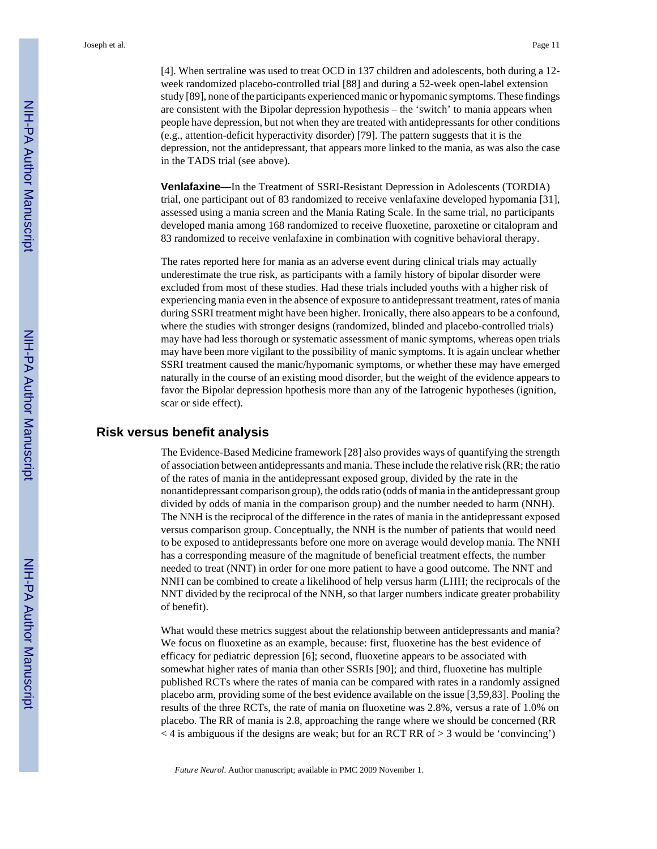[4]. When sertraline was used to treat OCD in 137 children and adolescents, both during a 12 week randomized placebo-controlled trial [88] and during a 52-week open-label extension study [89], none of the participants experienced manic or hypomanic symptoms. These findings are consistent with the Bipolar depression hypothesis – the 'switch' to mania appears when people have depression, but not when they are treated with antidepressants for other conditions (e.g., attention-deficit hyperactivity disorder) [79]. The pattern suggests that it is the depression, not the antidepressant, that appears more linked to the mania, as was also the case in the TADS trial (see above).

**Venlafaxine—**In the Treatment of SSRI-Resistant Depression in Adolescents (TORDIA) trial, one participant out of 83 randomized to receive venlafaxine developed hypomania [31], assessed using a mania screen and the Mania Rating Scale. In the same trial, no participants developed mania among 168 randomized to receive fluoxetine, paroxetine or citalopram and 83 randomized to receive venlafaxine in combination with cognitive behavioral therapy.

The rates reported here for mania as an adverse event during clinical trials may actually underestimate the true risk, as participants with a family history of bipolar disorder were excluded from most of these studies. Had these trials included youths with a higher risk of experiencing mania even in the absence of exposure to antidepressant treatment, rates of mania during SSRI treatment might have been higher. Ironically, there also appears to be a confound, where the studies with stronger designs (randomized, blinded and placebo-controlled trials) may have had less thorough or systematic assessment of manic symptoms, whereas open trials may have been more vigilant to the possibility of manic symptoms. It is again unclear whether SSRI treatment caused the manic/hypomanic symptoms, or whether these may have emerged naturally in the course of an existing mood disorder, but the weight of the evidence appears to favor the Bipolar depression hpothesis more than any of the Iatrogenic hypotheses (ignition, scar or side effect).

#### **Risk versus benefit analysis**

The Evidence-Based Medicine framework [28] also provides ways of quantifying the strength of association between antidepressants and mania. These include the relative risk (RR; the ratio of the rates of mania in the antidepressant exposed group, divided by the rate in the nonantidepressant comparison group), the odds ratio (odds of mania in the antidepressant group divided by odds of mania in the comparison group) and the number needed to harm (NNH). The NNH is the reciprocal of the difference in the rates of mania in the antidepressant exposed versus comparison group. Conceptually, the NNH is the number of patients that would need to be exposed to antidepressants before one more on average would develop mania. The NNH has a corresponding measure of the magnitude of beneficial treatment effects, the number needed to treat (NNT) in order for one more patient to have a good outcome. The NNT and NNH can be combined to create a likelihood of help versus harm (LHH; the reciprocals of the NNT divided by the reciprocal of the NNH, so that larger numbers indicate greater probability of benefit).

What would these metrics suggest about the relationship between antidepressants and mania? We focus on fluoxetine as an example, because: first, fluoxetine has the best evidence of efficacy for pediatric depression [6]; second, fluoxetine appears to be associated with somewhat higher rates of mania than other SSRIs [90]; and third, fluoxetine has multiple published RCTs where the rates of mania can be compared with rates in a randomly assigned placebo arm, providing some of the best evidence available on the issue [3,59,83]. Pooling the results of the three RCTs, the rate of mania on fluoxetine was 2.8%, versus a rate of 1.0% on placebo. The RR of mania is 2.8, approaching the range where we should be concerned (RR  $<$  4 is ambiguous if the designs are weak; but for an RCT RR of > 3 would be 'convincing')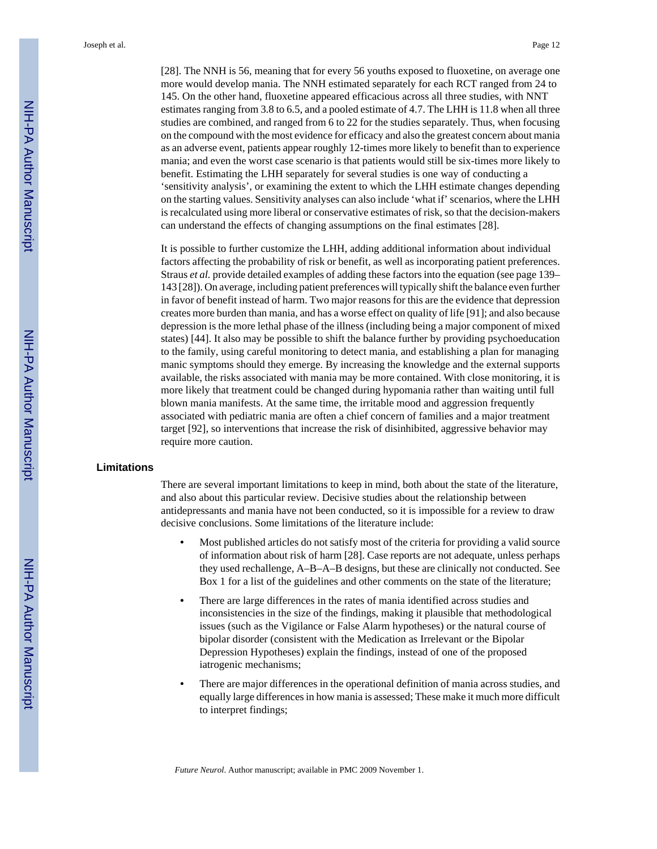[28]. The NNH is 56, meaning that for every 56 youths exposed to fluoxetine, on average one more would develop mania. The NNH estimated separately for each RCT ranged from 24 to 145. On the other hand, fluoxetine appeared efficacious across all three studies, with NNT estimates ranging from 3.8 to 6.5, and a pooled estimate of 4.7. The LHH is 11.8 when all three studies are combined, and ranged from 6 to 22 for the studies separately. Thus, when focusing on the compound with the most evidence for efficacy and also the greatest concern about mania as an adverse event, patients appear roughly 12-times more likely to benefit than to experience mania; and even the worst case scenario is that patients would still be six-times more likely to benefit. Estimating the LHH separately for several studies is one way of conducting a 'sensitivity analysis', or examining the extent to which the LHH estimate changes depending on the starting values. Sensitivity analyses can also include 'what if' scenarios, where the LHH is recalculated using more liberal or conservative estimates of risk, so that the decision-makers can understand the effects of changing assumptions on the final estimates [28].

It is possible to further customize the LHH, adding additional information about individual factors affecting the probability of risk or benefit, as well as incorporating patient preferences. Straus *et al.* provide detailed examples of adding these factors into the equation (see page 139– 143 [28]). On average, including patient preferences will typically shift the balance even further in favor of benefit instead of harm. Two major reasons for this are the evidence that depression creates more burden than mania, and has a worse effect on quality of life [91]; and also because depression is the more lethal phase of the illness (including being a major component of mixed states) [44]. It also may be possible to shift the balance further by providing psychoeducation to the family, using careful monitoring to detect mania, and establishing a plan for managing manic symptoms should they emerge. By increasing the knowledge and the external supports available, the risks associated with mania may be more contained. With close monitoring, it is more likely that treatment could be changed during hypomania rather than waiting until full blown mania manifests. At the same time, the irritable mood and aggression frequently associated with pediatric mania are often a chief concern of families and a major treatment target [92], so interventions that increase the risk of disinhibited, aggressive behavior may require more caution.

#### **Limitations**

There are several important limitations to keep in mind, both about the state of the literature, and also about this particular review. Decisive studies about the relationship between antidepressants and mania have not been conducted, so it is impossible for a review to draw decisive conclusions. Some limitations of the literature include:

- **•** Most published articles do not satisfy most of the criteria for providing a valid source of information about risk of harm [28]. Case reports are not adequate, unless perhaps they used rechallenge, A–B–A–B designs, but these are clinically not conducted. See Box 1 for a list of the guidelines and other comments on the state of the literature;
- **•** There are large differences in the rates of mania identified across studies and inconsistencies in the size of the findings, making it plausible that methodological issues (such as the Vigilance or False Alarm hypotheses) or the natural course of bipolar disorder (consistent with the Medication as Irrelevant or the Bipolar Depression Hypotheses) explain the findings, instead of one of the proposed iatrogenic mechanisms;
- **•** There are major differences in the operational definition of mania across studies, and equally large differences in how mania is assessed; These make it much more difficult to interpret findings;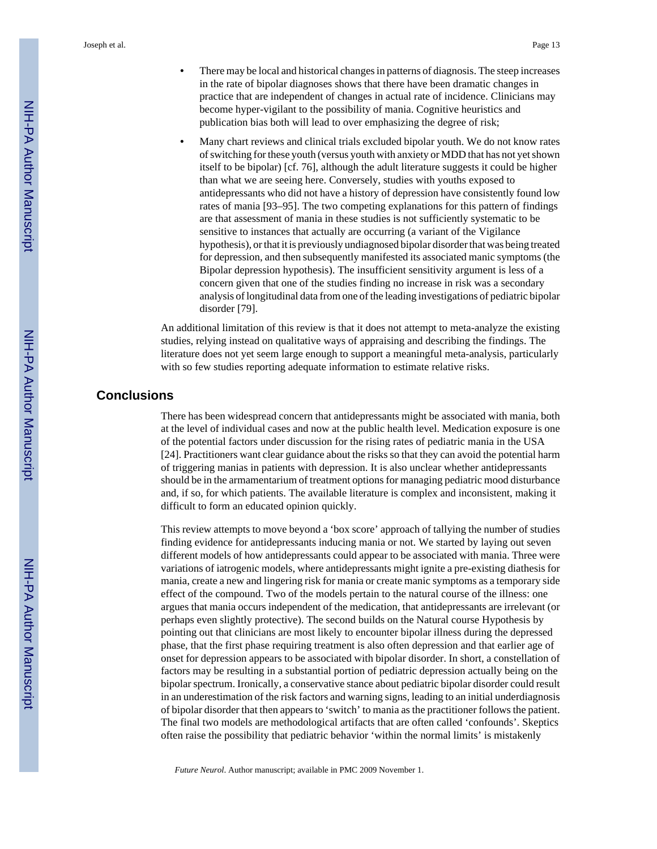- **•** There may be local and historical changes in patterns of diagnosis. The steep increases in the rate of bipolar diagnoses shows that there have been dramatic changes in practice that are independent of changes in actual rate of incidence. Clinicians may become hyper-vigilant to the possibility of mania. Cognitive heuristics and publication bias both will lead to over emphasizing the degree of risk;
- **•** Many chart reviews and clinical trials excluded bipolar youth. We do not know rates of switching for these youth (versus youth with anxiety or MDD that has not yet shown itself to be bipolar) [cf. 76], although the adult literature suggests it could be higher than what we are seeing here. Conversely, studies with youths exposed to antidepressants who did not have a history of depression have consistently found low rates of mania [93–95]. The two competing explanations for this pattern of findings are that assessment of mania in these studies is not sufficiently systematic to be sensitive to instances that actually are occurring (a variant of the Vigilance hypothesis), or that it is previously undiagnosed bipolar disorder that was being treated for depression, and then subsequently manifested its associated manic symptoms (the Bipolar depression hypothesis). The insufficient sensitivity argument is less of a concern given that one of the studies finding no increase in risk was a secondary analysis of longitudinal data from one of the leading investigations of pediatric bipolar disorder [79].

An additional limitation of this review is that it does not attempt to meta-analyze the existing studies, relying instead on qualitative ways of appraising and describing the findings. The literature does not yet seem large enough to support a meaningful meta-analysis, particularly with so few studies reporting adequate information to estimate relative risks.

## **Conclusions**

There has been widespread concern that antidepressants might be associated with mania, both at the level of individual cases and now at the public health level. Medication exposure is one of the potential factors under discussion for the rising rates of pediatric mania in the USA [24]. Practitioners want clear guidance about the risks so that they can avoid the potential harm of triggering manias in patients with depression. It is also unclear whether antidepressants should be in the armamentarium of treatment options for managing pediatric mood disturbance and, if so, for which patients. The available literature is complex and inconsistent, making it difficult to form an educated opinion quickly.

This review attempts to move beyond a 'box score' approach of tallying the number of studies finding evidence for antidepressants inducing mania or not. We started by laying out seven different models of how antidepressants could appear to be associated with mania. Three were variations of iatrogenic models, where antidepressants might ignite a pre-existing diathesis for mania, create a new and lingering risk for mania or create manic symptoms as a temporary side effect of the compound. Two of the models pertain to the natural course of the illness: one argues that mania occurs independent of the medication, that antidepressants are irrelevant (or perhaps even slightly protective). The second builds on the Natural course Hypothesis by pointing out that clinicians are most likely to encounter bipolar illness during the depressed phase, that the first phase requiring treatment is also often depression and that earlier age of onset for depression appears to be associated with bipolar disorder. In short, a constellation of factors may be resulting in a substantial portion of pediatric depression actually being on the bipolar spectrum. Ironically, a conservative stance about pediatric bipolar disorder could result in an underestimation of the risk factors and warning signs, leading to an initial underdiagnosis of bipolar disorder that then appears to 'switch' to mania as the practitioner follows the patient. The final two models are methodological artifacts that are often called 'confounds'. Skeptics often raise the possibility that pediatric behavior 'within the normal limits' is mistakenly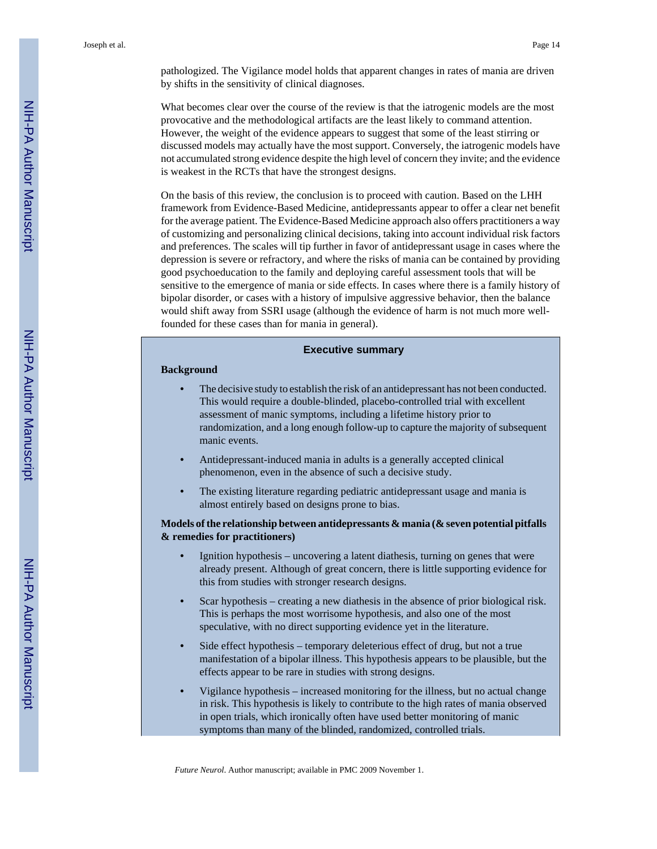pathologized. The Vigilance model holds that apparent changes in rates of mania are driven by shifts in the sensitivity of clinical diagnoses.

What becomes clear over the course of the review is that the iatrogenic models are the most provocative and the methodological artifacts are the least likely to command attention. However, the weight of the evidence appears to suggest that some of the least stirring or discussed models may actually have the most support. Conversely, the iatrogenic models have not accumulated strong evidence despite the high level of concern they invite; and the evidence is weakest in the RCTs that have the strongest designs.

On the basis of this review, the conclusion is to proceed with caution. Based on the LHH framework from Evidence-Based Medicine, antidepressants appear to offer a clear net benefit for the average patient. The Evidence-Based Medicine approach also offers practitioners a way of customizing and personalizing clinical decisions, taking into account individual risk factors and preferences. The scales will tip further in favor of antidepressant usage in cases where the depression is severe or refractory, and where the risks of mania can be contained by providing good psychoeducation to the family and deploying careful assessment tools that will be sensitive to the emergence of mania or side effects. In cases where there is a family history of bipolar disorder, or cases with a history of impulsive aggressive behavior, then the balance would shift away from SSRI usage (although the evidence of harm is not much more wellfounded for these cases than for mania in general).

#### **Executive summary**

#### **Background**

- **•** The decisive study to establish the risk of an antidepressant has not been conducted. This would require a double-blinded, placebo-controlled trial with excellent assessment of manic symptoms, including a lifetime history prior to randomization, and a long enough follow-up to capture the majority of subsequent manic events.
- **•** Antidepressant-induced mania in adults is a generally accepted clinical phenomenon, even in the absence of such a decisive study.
- **•** The existing literature regarding pediatric antidepressant usage and mania is almost entirely based on designs prone to bias.

## **Models of the relationship between antidepressants & mania (& seven potential pitfalls & remedies for practitioners)**

- **•** Ignition hypothesis uncovering a latent diathesis, turning on genes that were already present. Although of great concern, there is little supporting evidence for this from studies with stronger research designs.
- **•** Scar hypothesis creating a new diathesis in the absence of prior biological risk. This is perhaps the most worrisome hypothesis, and also one of the most speculative, with no direct supporting evidence yet in the literature.
- **•** Side effect hypothesis temporary deleterious effect of drug, but not a true manifestation of a bipolar illness. This hypothesis appears to be plausible, but the effects appear to be rare in studies with strong designs.
- **•** Vigilance hypothesis increased monitoring for the illness, but no actual change in risk. This hypothesis is likely to contribute to the high rates of mania observed in open trials, which ironically often have used better monitoring of manic symptoms than many of the blinded, randomized, controlled trials.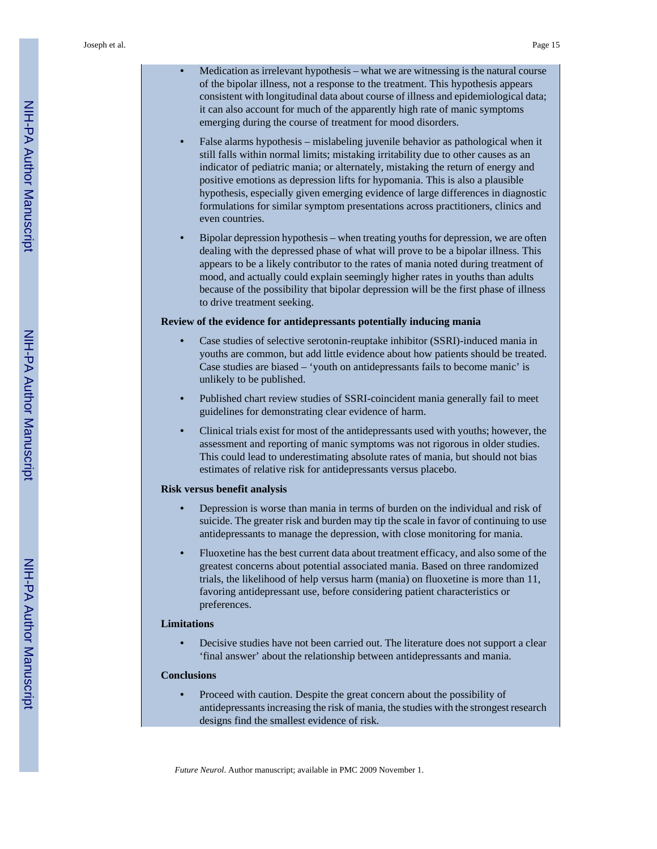- **•** Medication as irrelevant hypothesis what we are witnessing is the natural course of the bipolar illness, not a response to the treatment. This hypothesis appears consistent with longitudinal data about course of illness and epidemiological data; it can also account for much of the apparently high rate of manic symptoms emerging during the course of treatment for mood disorders.
- **•** False alarms hypothesis mislabeling juvenile behavior as pathological when it still falls within normal limits; mistaking irritability due to other causes as an indicator of pediatric mania; or alternately, mistaking the return of energy and positive emotions as depression lifts for hypomania. This is also a plausible hypothesis, especially given emerging evidence of large differences in diagnostic formulations for similar symptom presentations across practitioners, clinics and even countries.
- **•** Bipolar depression hypothesis when treating youths for depression, we are often dealing with the depressed phase of what will prove to be a bipolar illness. This appears to be a likely contributor to the rates of mania noted during treatment of mood, and actually could explain seemingly higher rates in youths than adults because of the possibility that bipolar depression will be the first phase of illness to drive treatment seeking.

#### **Review of the evidence for antidepressants potentially inducing mania**

- **•** Case studies of selective serotonin-reuptake inhibitor (SSRI)-induced mania in youths are common, but add little evidence about how patients should be treated. Case studies are biased – 'youth on antidepressants fails to become manic' is unlikely to be published.
- **•** Published chart review studies of SSRI-coincident mania generally fail to meet guidelines for demonstrating clear evidence of harm.
- **•** Clinical trials exist for most of the antidepressants used with youths; however, the assessment and reporting of manic symptoms was not rigorous in older studies. This could lead to underestimating absolute rates of mania, but should not bias estimates of relative risk for antidepressants versus placebo.

#### **Risk versus benefit analysis**

- **•** Depression is worse than mania in terms of burden on the individual and risk of suicide. The greater risk and burden may tip the scale in favor of continuing to use antidepressants to manage the depression, with close monitoring for mania.
- **•** Fluoxetine has the best current data about treatment efficacy, and also some of the greatest concerns about potential associated mania. Based on three randomized trials, the likelihood of help versus harm (mania) on fluoxetine is more than 11, favoring antidepressant use, before considering patient characteristics or preferences.

#### **Limitations**

**•** Decisive studies have not been carried out. The literature does not support a clear 'final answer' about the relationship between antidepressants and mania.

#### **Conclusions**

**•** Proceed with caution. Despite the great concern about the possibility of antidepressants increasing the risk of mania, the studies with the strongest research designs find the smallest evidence of risk.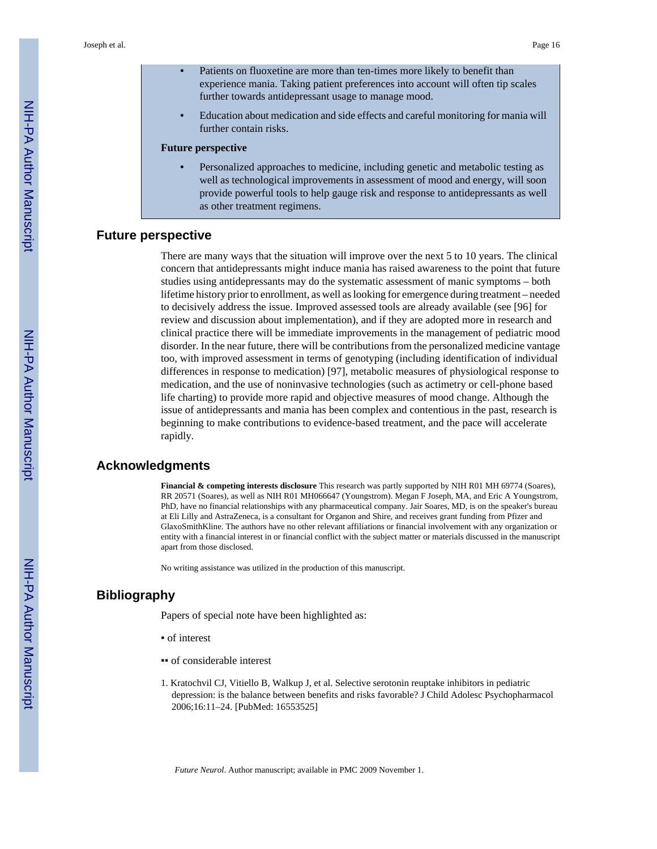- **•** Patients on fluoxetine are more than ten-times more likely to benefit than experience mania. Taking patient preferences into account will often tip scales further towards antidepressant usage to manage mood.
- **•** Education about medication and side effects and careful monitoring for mania will further contain risks.

#### **Future perspective**

**•** Personalized approaches to medicine, including genetic and metabolic testing as well as technological improvements in assessment of mood and energy, will soon provide powerful tools to help gauge risk and response to antidepressants as well as other treatment regimens.

## **Future perspective**

There are many ways that the situation will improve over the next 5 to 10 years. The clinical concern that antidepressants might induce mania has raised awareness to the point that future studies using antidepressants may do the systematic assessment of manic symptoms – both lifetime history prior to enrollment, as well as looking for emergence during treatment – needed to decisively address the issue. Improved assessed tools are already available (see [96] for review and discussion about implementation), and if they are adopted more in research and clinical practice there will be immediate improvements in the management of pediatric mood disorder. In the near future, there will be contributions from the personalized medicine vantage too, with improved assessment in terms of genotyping (including identification of individual differences in response to medication) [97], metabolic measures of physiological response to medication, and the use of noninvasive technologies (such as actimetry or cell-phone based life charting) to provide more rapid and objective measures of mood change. Although the issue of antidepressants and mania has been complex and contentious in the past, research is beginning to make contributions to evidence-based treatment, and the pace will accelerate rapidly.

#### **Acknowledgments**

**Financial & competing interests disclosure** This research was partly supported by NIH R01 MH 69774 (Soares), RR 20571 (Soares), as well as NIH R01 MH066647 (Youngstrom). Megan F Joseph, MA, and Eric A Youngstrom, PhD, have no financial relationships with any pharmaceutical company. Jair Soares, MD, is on the speaker's bureau at Eli Lilly and AstraZeneca, is a consultant for Organon and Shire, and receives grant funding from Pfizer and GlaxoSmithKline. The authors have no other relevant affiliations or financial involvement with any organization or entity with a financial interest in or financial conflict with the subject matter or materials discussed in the manuscript apart from those disclosed.

No writing assistance was utilized in the production of this manuscript.

## **Bibliography**

Papers of special note have been highlighted as:

- of interest
- of considerable interest
- 1. Kratochvil CJ, Vitiello B, Walkup J, et al. Selective serotonin reuptake inhibitors in pediatric depression: is the balance between benefits and risks favorable? J Child Adolesc Psychopharmacol 2006;16:11–24. [PubMed: 16553525]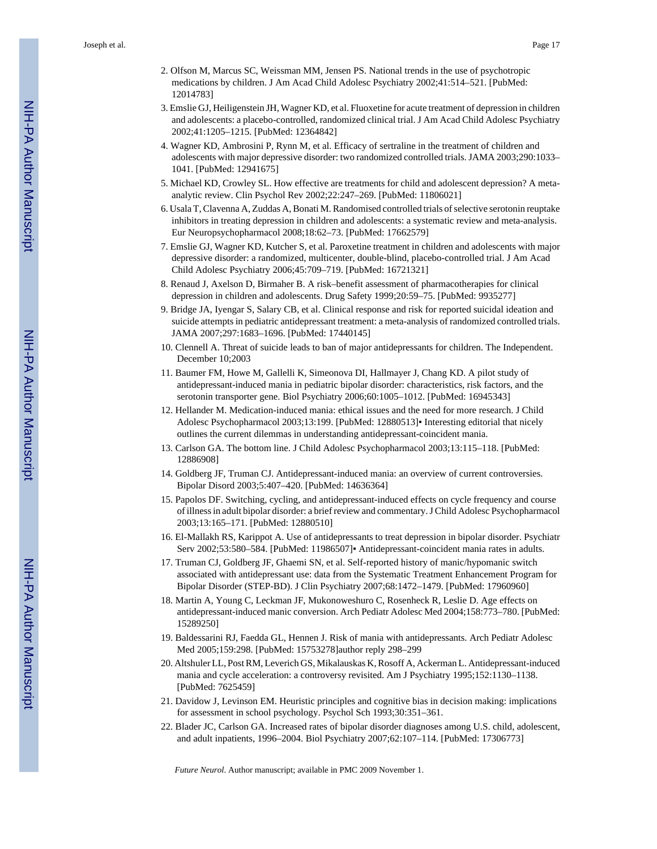- 2. Olfson M, Marcus SC, Weissman MM, Jensen PS. National trends in the use of psychotropic medications by children. J Am Acad Child Adolesc Psychiatry 2002;41:514–521. [PubMed: 12014783]
- 3. Emslie GJ, Heiligenstein JH, Wagner KD, et al. Fluoxetine for acute treatment of depression in children and adolescents: a placebo-controlled, randomized clinical trial. J Am Acad Child Adolesc Psychiatry 2002;41:1205–1215. [PubMed: 12364842]
- 4. Wagner KD, Ambrosini P, Rynn M, et al. Efficacy of sertraline in the treatment of children and adolescents with major depressive disorder: two randomized controlled trials. JAMA 2003;290:1033– 1041. [PubMed: 12941675]
- 5. Michael KD, Crowley SL. How effective are treatments for child and adolescent depression? A metaanalytic review. Clin Psychol Rev 2002;22:247–269. [PubMed: 11806021]
- 6. Usala T, Clavenna A, Zuddas A, Bonati M. Randomised controlled trials of selective serotonin reuptake inhibitors in treating depression in children and adolescents: a systematic review and meta-analysis. Eur Neuropsychopharmacol 2008;18:62–73. [PubMed: 17662579]
- 7. Emslie GJ, Wagner KD, Kutcher S, et al. Paroxetine treatment in children and adolescents with major depressive disorder: a randomized, multicenter, double-blind, placebo-controlled trial. J Am Acad Child Adolesc Psychiatry 2006;45:709–719. [PubMed: 16721321]
- 8. Renaud J, Axelson D, Birmaher B. A risk–benefit assessment of pharmacotherapies for clinical depression in children and adolescents. Drug Safety 1999;20:59–75. [PubMed: 9935277]
- 9. Bridge JA, Iyengar S, Salary CB, et al. Clinical response and risk for reported suicidal ideation and suicide attempts in pediatric antidepressant treatment: a meta-analysis of randomized controlled trials. JAMA 2007;297:1683–1696. [PubMed: 17440145]
- 10. Clennell A. Threat of suicide leads to ban of major antidepressants for children. The Independent. December 10;2003
- 11. Baumer FM, Howe M, Gallelli K, Simeonova DI, Hallmayer J, Chang KD. A pilot study of antidepressant-induced mania in pediatric bipolar disorder: characteristics, risk factors, and the serotonin transporter gene. Biol Psychiatry 2006;60:1005–1012. [PubMed: 16945343]
- 12. Hellander M. Medication-induced mania: ethical issues and the need for more research. J Child Adolesc Psychopharmacol 2003;13:199. [PubMed: 12880513]▪ Interesting editorial that nicely outlines the current dilemmas in understanding antidepressant-coincident mania.
- 13. Carlson GA. The bottom line. J Child Adolesc Psychopharmacol 2003;13:115–118. [PubMed: 12886908]
- 14. Goldberg JF, Truman CJ. Antidepressant-induced mania: an overview of current controversies. Bipolar Disord 2003;5:407–420. [PubMed: 14636364]
- 15. Papolos DF. Switching, cycling, and antidepressant-induced effects on cycle frequency and course of illness in adult bipolar disorder: a brief review and commentary. J Child Adolesc Psychopharmacol 2003;13:165–171. [PubMed: 12880510]
- 16. El-Mallakh RS, Karippot A. Use of antidepressants to treat depression in bipolar disorder. Psychiatr Serv 2002;53:580–584. [PubMed: 11986507]▪ Antidepressant-coincident mania rates in adults.
- 17. Truman CJ, Goldberg JF, Ghaemi SN, et al. Self-reported history of manic/hypomanic switch associated with antidepressant use: data from the Systematic Treatment Enhancement Program for Bipolar Disorder (STEP-BD). J Clin Psychiatry 2007;68:1472–1479. [PubMed: 17960960]
- 18. Martin A, Young C, Leckman JF, Mukonoweshuro C, Rosenheck R, Leslie D. Age effects on antidepressant-induced manic conversion. Arch Pediatr Adolesc Med 2004;158:773–780. [PubMed: 15289250]
- 19. Baldessarini RJ, Faedda GL, Hennen J. Risk of mania with antidepressants. Arch Pediatr Adolesc Med 2005;159:298. [PubMed: 15753278]author reply 298–299
- 20. Altshuler LL, Post RM, Leverich GS, Mikalauskas K, Rosoff A, Ackerman L. Antidepressant-induced mania and cycle acceleration: a controversy revisited. Am J Psychiatry 1995;152:1130–1138. [PubMed: 7625459]
- 21. Davidow J, Levinson EM. Heuristic principles and cognitive bias in decision making: implications for assessment in school psychology. Psychol Sch 1993;30:351–361.
- 22. Blader JC, Carlson GA. Increased rates of bipolar disorder diagnoses among U.S. child, adolescent, and adult inpatients, 1996–2004. Biol Psychiatry 2007;62:107–114. [PubMed: 17306773]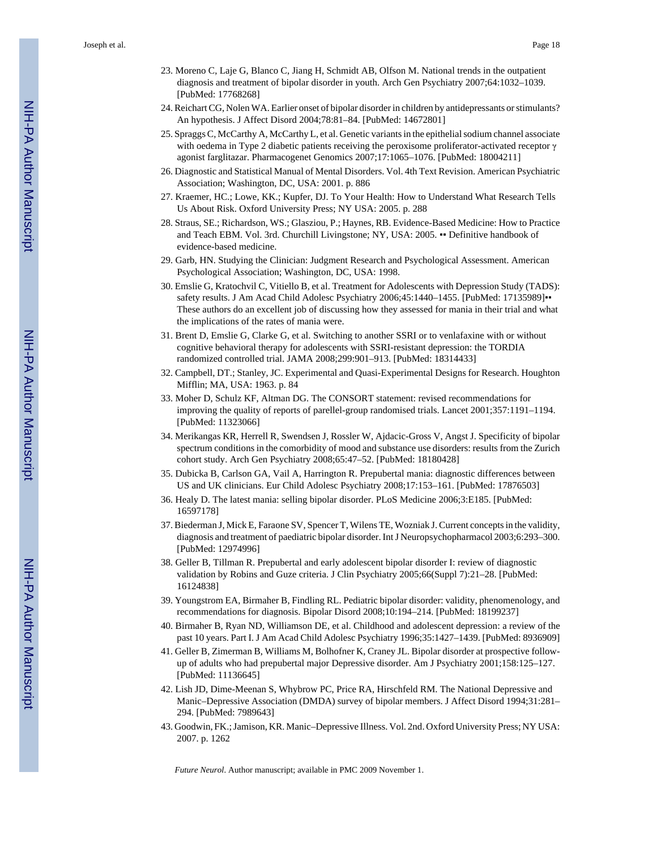- 23. Moreno C, Laje G, Blanco C, Jiang H, Schmidt AB, Olfson M. National trends in the outpatient diagnosis and treatment of bipolar disorder in youth. Arch Gen Psychiatry 2007;64:1032–1039. [PubMed: 17768268]
- 24. Reichart CG, Nolen WA. Earlier onset of bipolar disorder in children by antidepressants or stimulants? An hypothesis. J Affect Disord 2004;78:81–84. [PubMed: 14672801]
- 25. Spraggs C, McCarthy A, McCarthy L, et al. Genetic variants in the epithelial sodium channel associate with oedema in Type 2 diabetic patients receiving the peroxisome proliferator-activated receptor γ agonist farglitazar. Pharmacogenet Genomics 2007;17:1065–1076. [PubMed: 18004211]
- 26. Diagnostic and Statistical Manual of Mental Disorders. Vol. 4th Text Revision. American Psychiatric Association; Washington, DC, USA: 2001. p. 886
- 27. Kraemer, HC.; Lowe, KK.; Kupfer, DJ. To Your Health: How to Understand What Research Tells Us About Risk. Oxford University Press; NY USA: 2005. p. 288
- 28. Straus, SE.; Richardson, WS.; Glasziou, P.; Haynes, RB. Evidence-Based Medicine: How to Practice and Teach EBM. Vol. 3rd. Churchill Livingstone; NY, USA: 2005. • Definitive handbook of evidence-based medicine.
- 29. Garb, HN. Studying the Clinician: Judgment Research and Psychological Assessment. American Psychological Association; Washington, DC, USA: 1998.
- 30. Emslie G, Kratochvil C, Vitiello B, et al. Treatment for Adolescents with Depression Study (TADS): safety results. J Am Acad Child Adolesc Psychiatry 2006;45:1440-1455. [PubMed: 17135989]•• These authors do an excellent job of discussing how they assessed for mania in their trial and what the implications of the rates of mania were.
- 31. Brent D, Emslie G, Clarke G, et al. Switching to another SSRI or to venlafaxine with or without cognitive behavioral therapy for adolescents with SSRI-resistant depression: the TORDIA randomized controlled trial. JAMA 2008;299:901–913. [PubMed: 18314433]
- 32. Campbell, DT.; Stanley, JC. Experimental and Quasi-Experimental Designs for Research. Houghton Mifflin; MA, USA: 1963. p. 84
- 33. Moher D, Schulz KF, Altman DG. The CONSORT statement: revised recommendations for improving the quality of reports of parellel-group randomised trials. Lancet 2001;357:1191–1194. [PubMed: 11323066]
- 34. Merikangas KR, Herrell R, Swendsen J, Rossler W, Ajdacic-Gross V, Angst J. Specificity of bipolar spectrum conditions in the comorbidity of mood and substance use disorders: results from the Zurich cohort study. Arch Gen Psychiatry 2008;65:47–52. [PubMed: 18180428]
- 35. Dubicka B, Carlson GA, Vail A, Harrington R. Prepubertal mania: diagnostic differences between US and UK clinicians. Eur Child Adolesc Psychiatry 2008;17:153–161. [PubMed: 17876503]
- 36. Healy D. The latest mania: selling bipolar disorder. PLoS Medicine 2006;3:E185. [PubMed: 16597178]
- 37. Biederman J, Mick E, Faraone SV, Spencer T, Wilens TE, Wozniak J. Current concepts in the validity, diagnosis and treatment of paediatric bipolar disorder. Int J Neuropsychopharmacol 2003;6:293–300. [PubMed: 12974996]
- 38. Geller B, Tillman R. Prepubertal and early adolescent bipolar disorder I: review of diagnostic validation by Robins and Guze criteria. J Clin Psychiatry 2005;66(Suppl 7):21–28. [PubMed: 16124838]
- 39. Youngstrom EA, Birmaher B, Findling RL. Pediatric bipolar disorder: validity, phenomenology, and recommendations for diagnosis. Bipolar Disord 2008;10:194–214. [PubMed: 18199237]
- 40. Birmaher B, Ryan ND, Williamson DE, et al. Childhood and adolescent depression: a review of the past 10 years. Part I. J Am Acad Child Adolesc Psychiatry 1996;35:1427–1439. [PubMed: 8936909]
- 41. Geller B, Zimerman B, Williams M, Bolhofner K, Craney JL. Bipolar disorder at prospective followup of adults who had prepubertal major Depressive disorder. Am J Psychiatry 2001;158:125–127. [PubMed: 11136645]
- 42. Lish JD, Dime-Meenan S, Whybrow PC, Price RA, Hirschfeld RM. The National Depressive and Manic–Depressive Association (DMDA) survey of bipolar members. J Affect Disord 1994;31:281– 294. [PubMed: 7989643]
- 43. Goodwin, FK.; Jamison, KR. Manic–Depressive Illness. Vol. 2nd. Oxford University Press; NY USA: 2007. p. 1262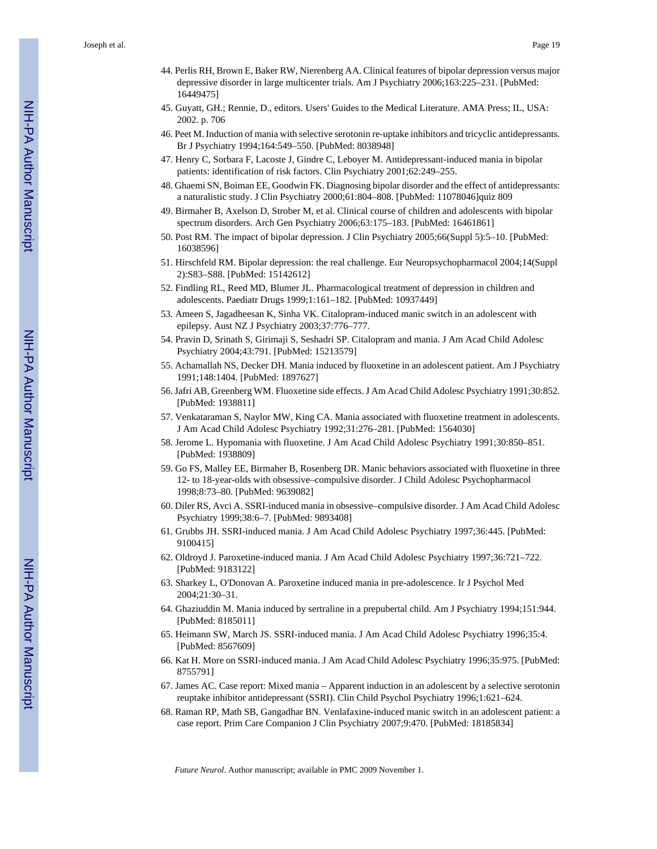- 44. Perlis RH, Brown E, Baker RW, Nierenberg AA. Clinical features of bipolar depression versus major depressive disorder in large multicenter trials. Am J Psychiatry 2006;163:225–231. [PubMed: 16449475]
- 45. Guyatt, GH.; Rennie, D., editors. Users' Guides to the Medical Literature. AMA Press; IL, USA: 2002. p. 706
- 46. Peet M. Induction of mania with selective serotonin re-uptake inhibitors and tricyclic antidepressants. Br J Psychiatry 1994;164:549–550. [PubMed: 8038948]
- 47. Henry C, Sorbara F, Lacoste J, Gindre C, Leboyer M. Antidepressant-induced mania in bipolar patients: identification of risk factors. Clin Psychiatry 2001;62:249–255.
- 48. Ghaemi SN, Boiman EE, Goodwin FK. Diagnosing bipolar disorder and the effect of antidepressants: a naturalistic study. J Clin Psychiatry 2000;61:804–808. [PubMed: 11078046]quiz 809
- 49. Birmaher B, Axelson D, Strober M, et al. Clinical course of children and adolescents with bipolar spectrum disorders. Arch Gen Psychiatry 2006;63:175–183. [PubMed: 16461861]
- 50. Post RM. The impact of bipolar depression. J Clin Psychiatry 2005;66(Suppl 5):5–10. [PubMed: 16038596]
- 51. Hirschfeld RM. Bipolar depression: the real challenge. Eur Neuropsychopharmacol 2004;14(Suppl 2):S83–S88. [PubMed: 15142612]
- 52. Findling RL, Reed MD, Blumer JL. Pharmacological treatment of depression in children and adolescents. Paediatr Drugs 1999;1:161–182. [PubMed: 10937449]
- 53. Ameen S, Jagadheesan K, Sinha VK. Citalopram-induced manic switch in an adolescent with epilepsy. Aust NZ J Psychiatry 2003;37:776–777.
- 54. Pravin D, Srinath S, Girimaji S, Seshadri SP. Citalopram and mania. J Am Acad Child Adolesc Psychiatry 2004;43:791. [PubMed: 15213579]
- 55. Achamallah NS, Decker DH. Mania induced by fluoxetine in an adolescent patient. Am J Psychiatry 1991;148:1404. [PubMed: 1897627]
- 56. Jafri AB, Greenberg WM. Fluoxetine side effects. J Am Acad Child Adolesc Psychiatry 1991;30:852. [PubMed: 1938811]
- 57. Venkataraman S, Naylor MW, King CA. Mania associated with fluoxetine treatment in adolescents. J Am Acad Child Adolesc Psychiatry 1992;31:276–281. [PubMed: 1564030]
- 58. Jerome L. Hypomania with fluoxetine. J Am Acad Child Adolesc Psychiatry 1991;30:850–851. [PubMed: 1938809]
- 59. Go FS, Malley EE, Birmaher B, Rosenberg DR. Manic behaviors associated with fluoxetine in three 12- to 18-year-olds with obsessive–compulsive disorder. J Child Adolesc Psychopharmacol 1998;8:73–80. [PubMed: 9639082]
- 60. Diler RS, Avci A. SSRI-induced mania in obsessive–compulsive disorder. J Am Acad Child Adolesc Psychiatry 1999;38:6–7. [PubMed: 9893408]
- 61. Grubbs JH. SSRI-induced mania. J Am Acad Child Adolesc Psychiatry 1997;36:445. [PubMed: 9100415]
- 62. Oldroyd J. Paroxetine-induced mania. J Am Acad Child Adolesc Psychiatry 1997;36:721–722. [PubMed: 9183122]
- 63. Sharkey L, O'Donovan A. Paroxetine induced mania in pre-adolescence. Ir J Psychol Med 2004;21:30–31.
- 64. Ghaziuddin M. Mania induced by sertraline in a prepubertal child. Am J Psychiatry 1994;151:944. [PubMed: 8185011]
- 65. Heimann SW, March JS. SSRI-induced mania. J Am Acad Child Adolesc Psychiatry 1996;35:4. [PubMed: 8567609]
- 66. Kat H. More on SSRI-induced mania. J Am Acad Child Adolesc Psychiatry 1996;35:975. [PubMed: 8755791]
- 67. James AC. Case report: Mixed mania Apparent induction in an adolescent by a selective serotonin reuptake inhibitor antidepressant (SSRI). Clin Child Psychol Psychiatry 1996;1:621–624.
- 68. Raman RP, Math SB, Gangadhar BN. Venlafaxine-induced manic switch in an adolescent patient: a case report. Prim Care Companion J Clin Psychiatry 2007;9:470. [PubMed: 18185834]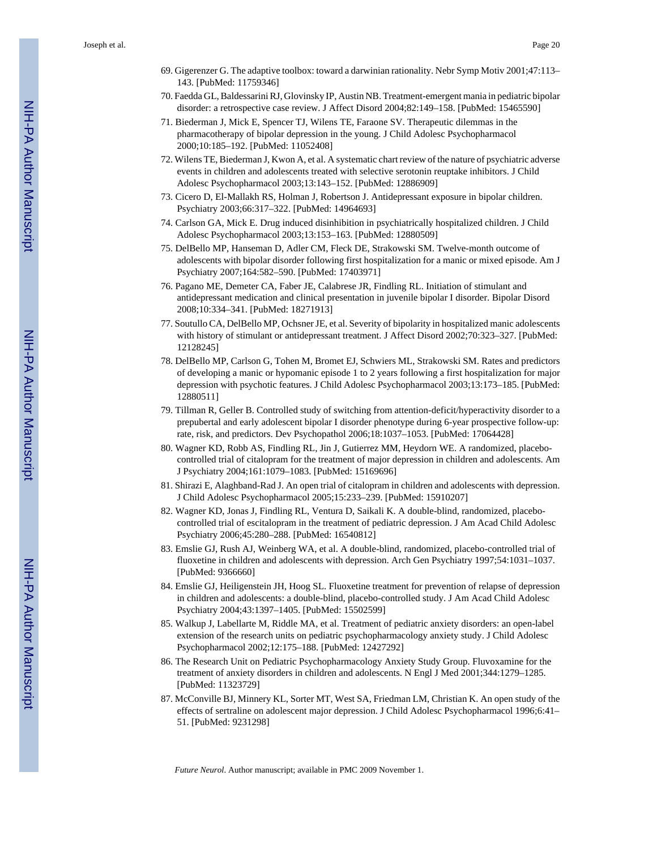- 69. Gigerenzer G. The adaptive toolbox: toward a darwinian rationality. Nebr Symp Motiv 2001;47:113– 143. [PubMed: 11759346]
- 70. Faedda GL, Baldessarini RJ, Glovinsky IP, Austin NB. Treatment-emergent mania in pediatric bipolar disorder: a retrospective case review. J Affect Disord 2004;82:149–158. [PubMed: 15465590]
- 71. Biederman J, Mick E, Spencer TJ, Wilens TE, Faraone SV. Therapeutic dilemmas in the pharmacotherapy of bipolar depression in the young. J Child Adolesc Psychopharmacol 2000;10:185–192. [PubMed: 11052408]
- 72. Wilens TE, Biederman J, Kwon A, et al. A systematic chart review of the nature of psychiatric adverse events in children and adolescents treated with selective serotonin reuptake inhibitors. J Child Adolesc Psychopharmacol 2003;13:143–152. [PubMed: 12886909]
- 73. Cicero D, El-Mallakh RS, Holman J, Robertson J. Antidepressant exposure in bipolar children. Psychiatry 2003;66:317–322. [PubMed: 14964693]
- 74. Carlson GA, Mick E. Drug induced disinhibition in psychiatrically hospitalized children. J Child Adolesc Psychopharmacol 2003;13:153–163. [PubMed: 12880509]
- 75. DelBello MP, Hanseman D, Adler CM, Fleck DE, Strakowski SM. Twelve-month outcome of adolescents with bipolar disorder following first hospitalization for a manic or mixed episode. Am J Psychiatry 2007;164:582–590. [PubMed: 17403971]
- 76. Pagano ME, Demeter CA, Faber JE, Calabrese JR, Findling RL. Initiation of stimulant and antidepressant medication and clinical presentation in juvenile bipolar I disorder. Bipolar Disord 2008;10:334–341. [PubMed: 18271913]
- 77. Soutullo CA, DelBello MP, Ochsner JE, et al. Severity of bipolarity in hospitalized manic adolescents with history of stimulant or antidepressant treatment. J Affect Disord 2002;70:323–327. [PubMed: 12128245]
- 78. DelBello MP, Carlson G, Tohen M, Bromet EJ, Schwiers ML, Strakowski SM. Rates and predictors of developing a manic or hypomanic episode 1 to 2 years following a first hospitalization for major depression with psychotic features. J Child Adolesc Psychopharmacol 2003;13:173–185. [PubMed: 12880511]
- 79. Tillman R, Geller B. Controlled study of switching from attention-deficit/hyperactivity disorder to a prepubertal and early adolescent bipolar I disorder phenotype during 6-year prospective follow-up: rate, risk, and predictors. Dev Psychopathol 2006;18:1037–1053. [PubMed: 17064428]
- 80. Wagner KD, Robb AS, Findling RL, Jin J, Gutierrez MM, Heydorn WE. A randomized, placebocontrolled trial of citalopram for the treatment of major depression in children and adolescents. Am J Psychiatry 2004;161:1079–1083. [PubMed: 15169696]
- 81. Shirazi E, Alaghband-Rad J. An open trial of citalopram in children and adolescents with depression. J Child Adolesc Psychopharmacol 2005;15:233–239. [PubMed: 15910207]
- 82. Wagner KD, Jonas J, Findling RL, Ventura D, Saikali K. A double-blind, randomized, placebocontrolled trial of escitalopram in the treatment of pediatric depression. J Am Acad Child Adolesc Psychiatry 2006;45:280–288. [PubMed: 16540812]
- 83. Emslie GJ, Rush AJ, Weinberg WA, et al. A double-blind, randomized, placebo-controlled trial of fluoxetine in children and adolescents with depression. Arch Gen Psychiatry 1997;54:1031–1037. [PubMed: 9366660]
- 84. Emslie GJ, Heiligenstein JH, Hoog SL. Fluoxetine treatment for prevention of relapse of depression in children and adolescents: a double-blind, placebo-controlled study. J Am Acad Child Adolesc Psychiatry 2004;43:1397–1405. [PubMed: 15502599]
- 85. Walkup J, Labellarte M, Riddle MA, et al. Treatment of pediatric anxiety disorders: an open-label extension of the research units on pediatric psychopharmacology anxiety study. J Child Adolesc Psychopharmacol 2002;12:175–188. [PubMed: 12427292]
- 86. The Research Unit on Pediatric Psychopharmacology Anxiety Study Group. Fluvoxamine for the treatment of anxiety disorders in children and adolescents. N Engl J Med 2001;344:1279–1285. [PubMed: 11323729]
- 87. McConville BJ, Minnery KL, Sorter MT, West SA, Friedman LM, Christian K. An open study of the effects of sertraline on adolescent major depression. J Child Adolesc Psychopharmacol 1996;6:41– 51. [PubMed: 9231298]